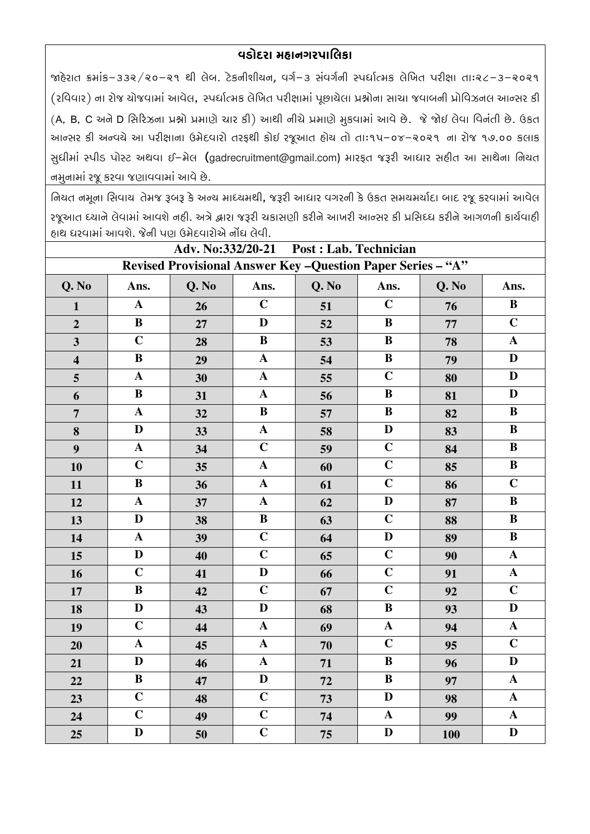## વડોદરા મહાનગરપાલિકા

જાહેરાત ક્રમાંક-૩૩૨/૨૦-૨૧ થી લેબ. ટેકનીશીચન, વર્ગ-૩ સંવર્ગની સ્પર્ધાત્મક લેખિત પરીક્ષા તાઃ૨૮-૩-૨૦૨૧ (રવિવાર) ના રોજ યોજવામાં આવેલ, સ્પર્ધાત્મક લેખિત પરીક્ષામાં પૂછાયેલા પ્રશ્નોના સાચા જવાબની પ્રોવિઝનલ આન્સર કી (A, B, C અને D સિરિઝના પ્રશ્નો પ્રમાણે ચાર કી) આથી નીચે પ્રમાણે મુકવામાં આવે છે. જે જોઈ લેવા વિનંતી છે. ઉકત આન્સર કી અન્વચે આ પરીક્ષાના ઉમેદવારો તરફથી કોઈ રજૂઆત હોય તો તાઃ૧૫–૦૪–૨૦૨૧ ના રોજ ૧૭.૦૦ કલાક સુધીમાં સ્પીડ પોસ્ટ અથવા ઈ-મેલ (gadrecruitment@gmail.com) મારફત જરૂરી આધાર સહીત આ સાથેના નિયત નમુનામાં રજૂ કરવા જણાવવામાં આવે છે.

નિયત નમૂના સિવાય તેમજ રૂબરૂ કે અન્ય માધ્યમથી, જરૂરી આધાર વગરની કે ઉકત સમયમર્યાદા બાદ રજૂ કરવામાં આવેલ રજૂઆત ધ્યાને લેવામાં આવશે નહી. અત્રે દ્વારા જરૂરી ચકાસણી કરીને આખરી આન્સર કી પ્રસિધ્ધ કરીને આગળની કાર્યવાહી ઠાથ ધરવામાં આવશે. જેની પણ ઉમેદવારોએ નોંધ લેવી.

| Adv. No:332/20-21<br>Post : Lab. Technician                  |                       |       |                         |       |                |            |                           |
|--------------------------------------------------------------|-----------------------|-------|-------------------------|-------|----------------|------------|---------------------------|
| Revised Provisional Answer Key - Question Paper Series - "A" |                       |       |                         |       |                |            |                           |
| Q. No                                                        | Ans.                  | Q. No | Ans.                    | Q. No | Ans.           | Q. No      | Ans.                      |
| $\mathbf{1}$                                                 | $\mathbf A$           | 26    | $\mathbf C$             | 51    | $\mathbf C$    | 76         | $\bf{B}$                  |
| $\overline{2}$                                               | $\bf{B}$              | 27    | $\mathbf{D}$            | 52    | $\bf{B}$       | 77         | $\overline{C}$            |
| $\overline{\mathbf{3}}$                                      | $\mathbf C$           | 28    | $\, {\bf B}$            | 53    | $\, {\bf B}$   | 78         | $\boldsymbol{\rm{A}}$     |
| $\overline{\mathbf{4}}$                                      | $\bf{B}$              | 29    | $\mathbf{A}$            | 54    | $\, {\bf B}$   | 79         | D                         |
| $\overline{\mathbf{5}}$                                      | $\mathbf{A}$          | 30    | $\boldsymbol{\rm A}$    | 55    | $\overline{C}$ | 80         | $\mathbf D$               |
| 6                                                            | $\bf{B}$              | 31    | $\boldsymbol{\rm A}$    | 56    | $\bf{B}$       | 81         | $\mathbf D$               |
| $\overline{7}$                                               | $\boldsymbol{\rm{A}}$ | 32    | $\, {\bf B}$            | 57    | $\bf{B}$       | 82         | $\, {\bf B}$              |
| 8                                                            | $\mathbf D$           | 33    | $\mathbf A$             | 58    | $\mathbf D$    | 83         | $\, {\bf B}$              |
| $\boldsymbol{9}$                                             | $\mathbf A$           | 34    | $\overline{C}$          | 59    | $\overline{C}$ | 84         | $\, {\bf B}$              |
| 10                                                           | $\mathbf C$           | 35    | $\mathbf A$             | 60    | $\overline{C}$ | 85         | $\bf{B}$                  |
| 11                                                           | $\, {\bf B}$          | 36    | $\boldsymbol{\rm{A}}$   | 61    | $\mathbf C$    | 86         | $\mathbf C$               |
| 12                                                           | ${\bf A}$             | 37    | $\mathbf A$             | 62    | $\mathbf{D}$   | 87         | $\bf{B}$                  |
| 13                                                           | $\mathbf{D}$          | 38    | $\, {\bf B}$            | 63    | $\mathbf C$    | 88         | $\, {\bf B}$              |
| 14                                                           | $\mathbf A$           | 39    | $\mathbf C$             | 64    | $\mathbf D$    | 89         | $\bf{B}$                  |
| 15                                                           | D                     | 40    | $\overline{C}$          | 65    | $\mathbf C$    | 90         | $\mathbf A$               |
| 16                                                           | $\mathbf C$           | 41    | $\mathbf D$             | 66    | $\mathbf C$    | 91         | $\mathbf A$               |
| 17                                                           | $\bf{B}$              | 42    | $\overline{C}$          | 67    | $\overline{C}$ | 92         | $\overline{C}$            |
| 18                                                           | $\mathbf{D}$          | 43    | $\overline{\mathbf{D}}$ | 68    | $\mathbf B$    | 93         | $\overline{\mathbf{D}}$   |
| 19                                                           | $\mathbf C$           | 44    | $\boldsymbol{\rm{A}}$   | 69    | ${\bf A}$      | 94         | $\boldsymbol{\mathbf{A}}$ |
| 20                                                           | $\mathbf A$           | 45    | $\boldsymbol{\rm{A}}$   | 70    | $\overline{C}$ | 95         | $\overline{C}$            |
| 21                                                           | D                     | 46    | $\mathbf A$             | 71    | $\bf{B}$       | 96         | D                         |
| 22                                                           | $\, {\bf B}$          | 47    | $\mathbf D$             | 72    | $\, {\bf B}$   | 97         | $\boldsymbol{\rm{A}}$     |
| 23                                                           | $\mathbf C$           | 48    | $\overline{C}$          | 73    | $\mathbf D$    | 98         | $\boldsymbol{\rm{A}}$     |
| 24                                                           | $\overline{C}$        | 49    | $\overline{C}$          | 74    | $\mathbf A$    | 99         | $\boldsymbol{\rm{A}}$     |
| 25                                                           | $\mathbf D$           | 50    | $\overline{C}$          | 75    | $\mathbf D$    | <b>100</b> | $\mathbf D$               |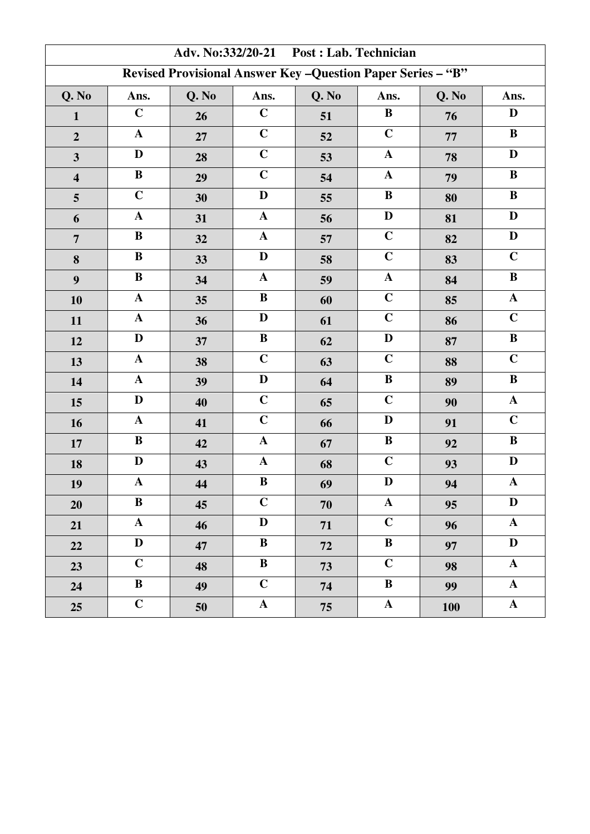| Adv. No:332/20-21 Post : Lab. Technician                     |                |       |                       |       |                      |            |                         |  |
|--------------------------------------------------------------|----------------|-------|-----------------------|-------|----------------------|------------|-------------------------|--|
| Revised Provisional Answer Key - Question Paper Series - "B" |                |       |                       |       |                      |            |                         |  |
| Q. No                                                        | Ans.           | Q. No | Ans.                  | Q. No | Ans.                 | Q. No      | Ans.                    |  |
| $\mathbf{1}$                                                 | $\mathbf C$    | 26    | $\mathbf C$           | 51    | $\bf{B}$             | 76         | D                       |  |
| $\overline{2}$                                               | $\mathbf A$    | 27    | $\mathbf C$           | 52    | $\mathbf C$          | 77         | $\bf{B}$                |  |
| $\overline{\mathbf{3}}$                                      | D              | 28    | $\mathbf C$           | 53    | $\boldsymbol{\rm A}$ | 78         | $\mathbf D$             |  |
| $\overline{\mathbf{4}}$                                      | $\bf{B}$       | 29    | $\mathbf C$           | 54    | $\mathbf{A}$         | 79         | $\, {\bf B}$            |  |
| 5                                                            | $\mathbf C$    | 30    | $\mathbf D$           | 55    | $\bf{B}$             | 80         | $\bf{B}$                |  |
| 6                                                            | $\mathbf A$    | 31    | $\mathbf A$           | 56    | $\mathbf D$          | 81         | $\mathbf D$             |  |
| $\overline{7}$                                               | $\, {\bf B}$   | 32    | $\boldsymbol{\rm{A}}$ | 57    | $\mathbf C$          | 82         | $\mathbf D$             |  |
| 8                                                            | $\, {\bf B}$   | 33    | D                     | 58    | $\mathbf C$          | 83         | $\mathbf C$             |  |
| 9                                                            | $\, {\bf B}$   | 34    | $\mathbf A$           | 59    | ${\bf A}$            | 84         | $\, {\bf B}$            |  |
| 10                                                           | $\mathbf A$    | 35    | $\, {\bf B}$          | 60    | $\mathbf C$          | 85         | $\mathbf A$             |  |
| 11                                                           | $\mathbf A$    | 36    | D                     | 61    | $\mathbf C$          | 86         | $\mathbf C$             |  |
| 12                                                           | $\mathbf{D}$   | 37    | $\bf{B}$              | 62    | $\mathbf{D}$         | 87         | $\, {\bf B}$            |  |
| 13                                                           | $\mathbf A$    | 38    | $\mathbf C$           | 63    | $\mathbf C$          | 88         | $\mathbf C$             |  |
| 14                                                           | $\mathbf A$    | 39    | D                     | 64    | $\bf{B}$             | 89         | $\, {\bf B}$            |  |
| 15                                                           | $\mathbf D$    | 40    | $\overline{C}$        | 65    | $\mathbf C$          | 90         | $\mathbf A$             |  |
| 16                                                           | ${\bf A}$      | 41    | $\mathbf C$           | 66    | D                    | 91         | $\mathbf C$             |  |
| $17\,$                                                       | $\, {\bf B}$   | 42    | $\mathbf{A}$          | 67    | $\, {\bf B}$         | 92         | $\, {\bf B}$            |  |
| 18                                                           | D              | 43    | $\mathbf A$           | 68    | $\mathbf C$          | 93         | $\mathbf D$             |  |
| 19                                                           | ${\bf A}$      | 44    | $\, {\bf B}$          | 69    | $\mathbf D$          | 94         | $\mathbf A$             |  |
| 20                                                           | $\bf{B}$       | 45    | $\mathbf C$           | 70    | $\mathbf{A}$         | 95         | D                       |  |
| 21                                                           | ${\bf A}$      | 46    | D                     | 71    | $\overline{C}$       | 96         | $\mathbf{A}$            |  |
| 22                                                           | $\mathbf D$    | 47    | $\bf{B}$              | 72    | $\bf{B}$             | 97         | $\mathbf D$             |  |
| 23                                                           | $\mathbf C$    | 48    | $\bf{B}$              | 73    | $\mathbf C$          | 98         | ${\bf A}$               |  |
| 24                                                           | $\bf{B}$       | 49    | $\overline{C}$        | 74    | $\bf{B}$             | 99         | $\mathbf{A}$            |  |
| 25                                                           | $\overline{C}$ | 50    | ${\bf A}$             | 75    | ${\bf A}$            | <b>100</b> | $\overline{\mathbf{A}}$ |  |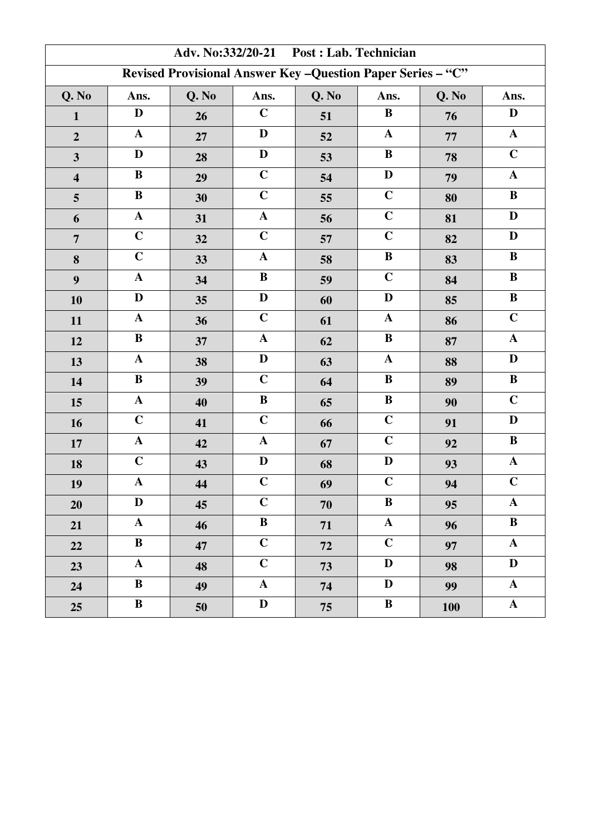| Adv. No:332/20-21 Post : Lab. Technician                     |                 |       |                |       |              |            |                |  |
|--------------------------------------------------------------|-----------------|-------|----------------|-------|--------------|------------|----------------|--|
| Revised Provisional Answer Key - Question Paper Series - "C" |                 |       |                |       |              |            |                |  |
| Q. No                                                        | Ans.            | Q. No | Ans.           | Q. No | Ans.         | Q. No      | Ans.           |  |
| $\mathbf{1}$                                                 | D               | 26    | $\mathbf C$    | 51    | $\bf{B}$     | 76         | D              |  |
| $\overline{2}$                                               | $\mathbf A$     | 27    | D              | 52    | $\mathbf{A}$ | 77         | $\mathbf A$    |  |
| $\overline{\mathbf{3}}$                                      | D               | 28    | $\mathbf D$    | 53    | $\bf{B}$     | 78         | $\mathbf C$    |  |
| $\overline{\mathbf{4}}$                                      | $\bf{B}$        | 29    | $\mathbf C$    | 54    | $\mathbf D$  | 79         | $\mathbf A$    |  |
| $\overline{\mathbf{5}}$                                      | $\, {\bf B}$    | 30    | $\mathbf C$    | 55    | $\mathbf C$  | 80         | $\, {\bf B}$   |  |
| 6                                                            | ${\bf A}$       | 31    | $\mathbf A$    | 56    | $\mathbf C$  | 81         | $\mathbf D$    |  |
| $\overline{7}$                                               | $\mathbf C$     | 32    | $\mathbf C$    | 57    | $\mathbf C$  | 82         | $\mathbf D$    |  |
| 8                                                            | $\mathbf C$     | 33    | $\mathbf A$    | 58    | $\bf{B}$     | 83         | $\, {\bf B}$   |  |
| 9                                                            | $\mathbf A$     | 34    | $\, {\bf B}$   | 59    | $\mathbf C$  | 84         | $\, {\bf B}$   |  |
| 10                                                           | D               | 35    | $\mathbf D$    | 60    | D            | 85         | $\, {\bf B}$   |  |
| 11                                                           | $\mathbf A$     | 36    | $\mathbf C$    | 61    | $\mathbf{A}$ | 86         | $\overline{C}$ |  |
| 12                                                           | $\, {\bf B}$    | 37    | $\mathbf A$    | 62    | $\bf{B}$     | 87         | $\mathbf A$    |  |
| 13                                                           | $\mathbf A$     | 38    | $\mathbf D$    | 63    | $\mathbf A$  | 88         | $\mathbf D$    |  |
| 14                                                           | $\, {\bf B}$    | 39    | $\mathbf C$    | 64    | $\bf{B}$     | 89         | $\, {\bf B}$   |  |
| 15                                                           | ${\bf A}$       | 40    | $\, {\bf B}$   | 65    | $\, {\bf B}$ | 90         | $\overline{C}$ |  |
| 16                                                           | $\mathbf C$     | 41    | $\mathbf C$    | 66    | $\mathbf C$  | 91         | $\mathbf D$    |  |
| $17\,$                                                       | $\mathbf A$     | 42    | $\mathbf{A}$   | 67    | $\mathbf C$  | 92         | $\, {\bf B}$   |  |
| 18                                                           | $\mathbf C$     | 43    | D              | 68    | $\mathbf D$  | 93         | $\mathbf A$    |  |
| 19                                                           | ${\bf A}$       | 44    | $\mathbf C$    | 69    | $\mathbf C$  | 94         | $\mathbf C$    |  |
| 20                                                           | D               | 45    | $\mathbf C$    | 70    | $\bf{B}$     | 95         | $\mathbf{A}$   |  |
| 21                                                           | ${\bf A}$       | 46    | $\bf{B}$       | 71    | $\mathbf{A}$ | 96         | $\bf{B}$       |  |
| 22                                                           | $\bf{B}$        | 47    | $\overline{C}$ | 72    | $\mathbf C$  | 97         | $\mathbf A$    |  |
| 23                                                           | ${\bf A}$       | 48    | $\mathbf C$    | 73    | D            | 98         | $\mathbf{D}$   |  |
| 24                                                           | $\bf{B}$        | 49    | $\mathbf{A}$   | 74    | $\mathbf{D}$ | 99         | $\mathbf{A}$   |  |
| 25                                                           | $\, {\bf B} \,$ | 50    | $\mathbf D$    | 75    | $\bf{B}$     | <b>100</b> | $\mathbf A$    |  |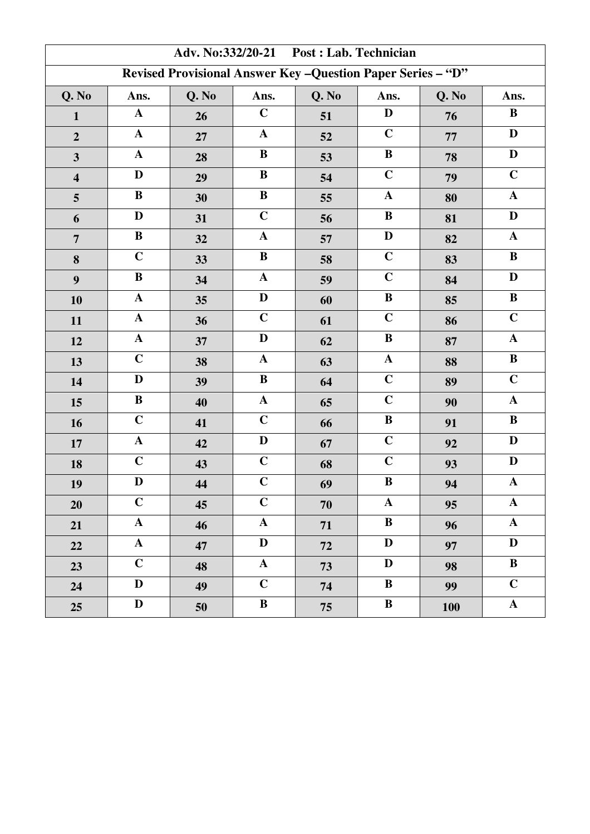| Adv. No:332/20-21 Post : Lab. Technician                     |                       |       |                       |       |              |            |                |  |
|--------------------------------------------------------------|-----------------------|-------|-----------------------|-------|--------------|------------|----------------|--|
| Revised Provisional Answer Key - Question Paper Series - "D" |                       |       |                       |       |              |            |                |  |
| Q. No                                                        | Ans.                  | Q. No | Ans.                  | Q. No | Ans.         | Q. No      | Ans.           |  |
| $\mathbf{1}$                                                 | $\mathbf A$           | 26    | $\mathbf C$           | 51    | D            | 76         | $\bf{B}$       |  |
| $\overline{2}$                                               | $\mathbf A$           | 27    | $\mathbf A$           | 52    | $\mathbf C$  | 77         | $\mathbf D$    |  |
| $\overline{\mathbf{3}}$                                      | $\mathbf A$           | 28    | $\bf{B}$              | 53    | $\bf{B}$     | 78         | $\mathbf D$    |  |
| $\overline{\mathbf{4}}$                                      | $\mathbf D$           | 29    | $\bf{B}$              | 54    | $\mathbf C$  | 79         | $\overline{C}$ |  |
| 5                                                            | $\bf{B}$              | 30    | $\, {\bf B}$          | 55    | $\mathbf{A}$ | 80         | $\mathbf A$    |  |
| 6                                                            | $\mathbf D$           | 31    | $\mathbf C$           | 56    | $\bf{B}$     | 81         | $\mathbf D$    |  |
| $\overline{7}$                                               | $\, {\bf B}$          | 32    | $\mathbf A$           | 57    | $\mathbf D$  | 82         | $\mathbf A$    |  |
| 8                                                            | $\mathbf C$           | 33    | $\bf{B}$              | 58    | $\mathbf C$  | 83         | $\, {\bf B}$   |  |
| 9                                                            | $\, {\bf B}$          | 34    | $\mathbf A$           | 59    | $\mathbf C$  | 84         | $\mathbf D$    |  |
| 10                                                           | $\mathbf A$           | 35    | $\mathbf D$           | 60    | $\bf{B}$     | 85         | $\, {\bf B}$   |  |
| 11                                                           | ${\bf A}$             | 36    | $\mathbf C$           | 61    | $\mathbf C$  | 86         | $\overline{C}$ |  |
| 12                                                           | $\boldsymbol{\rm{A}}$ | 37    | $\mathbf D$           | 62    | $\bf{B}$     | 87         | $\mathbf A$    |  |
| 13                                                           | $\mathbf C$           | 38    | $\mathbf A$           | 63    | $\mathbf A$  | 88         | $\, {\bf B}$   |  |
| 14                                                           | D                     | 39    | $\bf{B}$              | 64    | $\mathbf C$  | 89         | $\mathbf C$    |  |
| 15                                                           | $\, {\bf B}$          | 40    | $\boldsymbol{\rm{A}}$ | 65    | $\mathbf C$  | 90         | $\mathbf A$    |  |
| 16                                                           | $\mathbf C$           | 41    | $\mathbf C$           | 66    | $\bf{B}$     | 91         | $\, {\bf B}$   |  |
| $17\,$                                                       | ${\bf A}$             | 42    | $\mathbf D$           | 67    | $\mathbf C$  | 92         | ${\bf D}$      |  |
| 18                                                           | $\mathbf C$           | 43    | $\mathbf C$           | 68    | $\mathbf C$  | 93         | D              |  |
| 19                                                           | $\mathbf D$           | 44    | $\mathbf C$           | 69    | $\, {\bf B}$ | 94         | $\mathbf A$    |  |
| 20                                                           | $\mathbf C$           | 45    | $\mathbf C$           | 70    | $\mathbf{A}$ | 95         | $\mathbf{A}$   |  |
| 21                                                           | ${\bf A}$             | 46    | $\mathbf{A}$          | 71    | $\bf{B}$     | 96         | $\mathbf{A}$   |  |
| 22                                                           | ${\bf A}$             | 47    | $\mathbf{D}$          | 72    | D            | 97         | $\mathbf D$    |  |
| 23                                                           | $\mathbf C$           | 48    | $\mathbf{A}$          | 73    | D            | 98         | $\bf{B}$       |  |
| 24                                                           | $\mathbf{D}$          | 49    | $\mathbf C$           | 74    | $\bf{B}$     | 99         | $\mathbf C$    |  |
| 25                                                           | $\mathbf D$           | 50    | $\bf{B}$              | 75    | $\bf{B}$     | <b>100</b> | $\mathbf A$    |  |